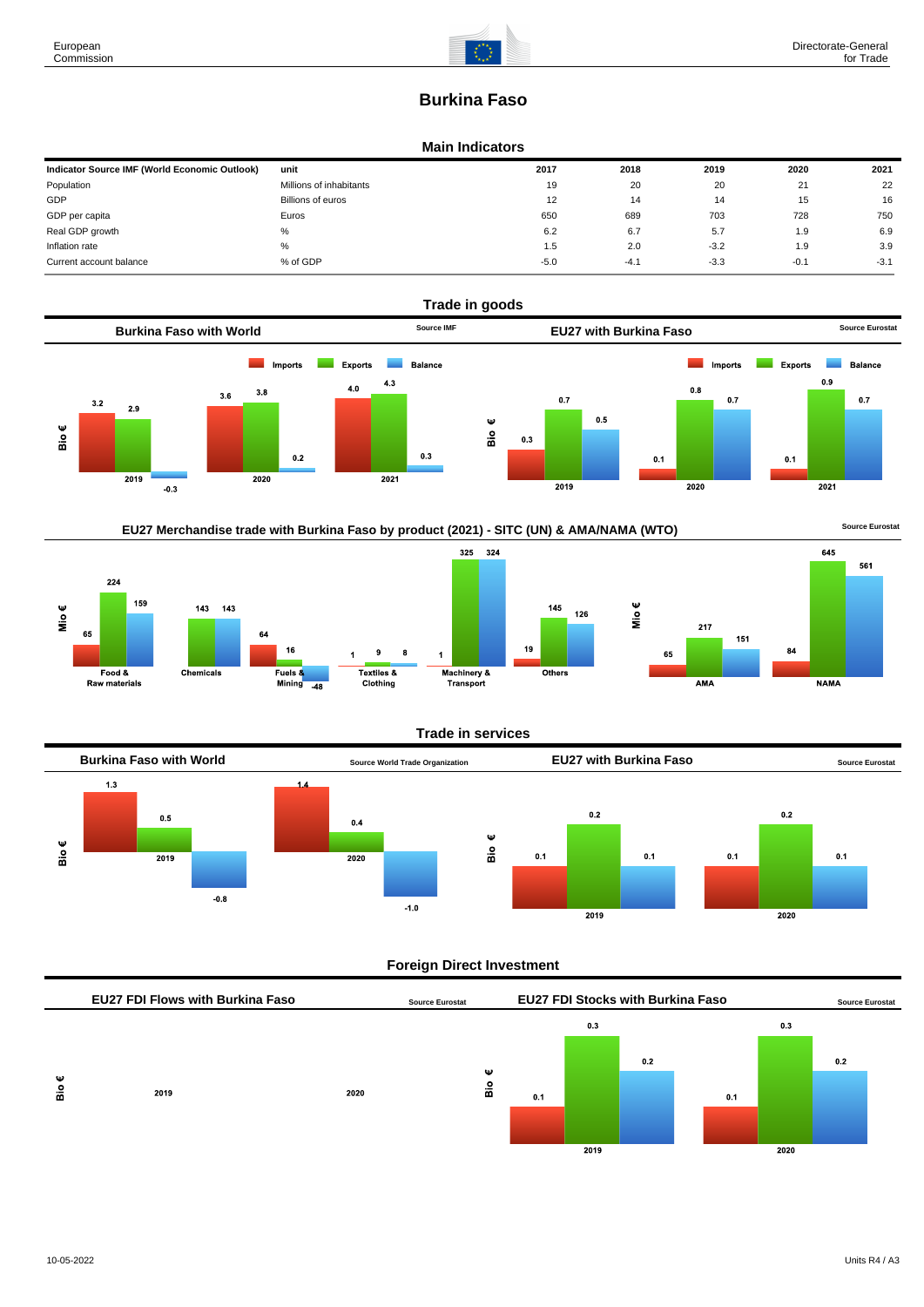# **Burkina Faso**

#### **Main Indicators**

| Indicator Source IMF (World Economic Outlook) | unit                    | 2017   | 2018   | 2019   | 2020   | 2021   |
|-----------------------------------------------|-------------------------|--------|--------|--------|--------|--------|
| Population                                    | Millions of inhabitants | 19     | 20     | 20     | 21     | 22     |
| GDP                                           | Billions of euros       | 12     | 14     | 14     | 15     | 16     |
| GDP per capita                                | Euros                   | 650    | 689    | 703    | 728    | 750    |
| Real GDP growth                               | %                       | 6.2    | 6.7    | 5.7    | 1.9    | 6.9    |
| Inflation rate                                | $\%$                    | 1.5    | 2.0    | $-3.2$ | 1.9    | 3.9    |
| Current account balance                       | % of GDP                | $-5.0$ | $-4.1$ | $-3.3$ | $-0.1$ | $-3.1$ |









# **Trade in services**

145



# **Foreign Direct Investment**